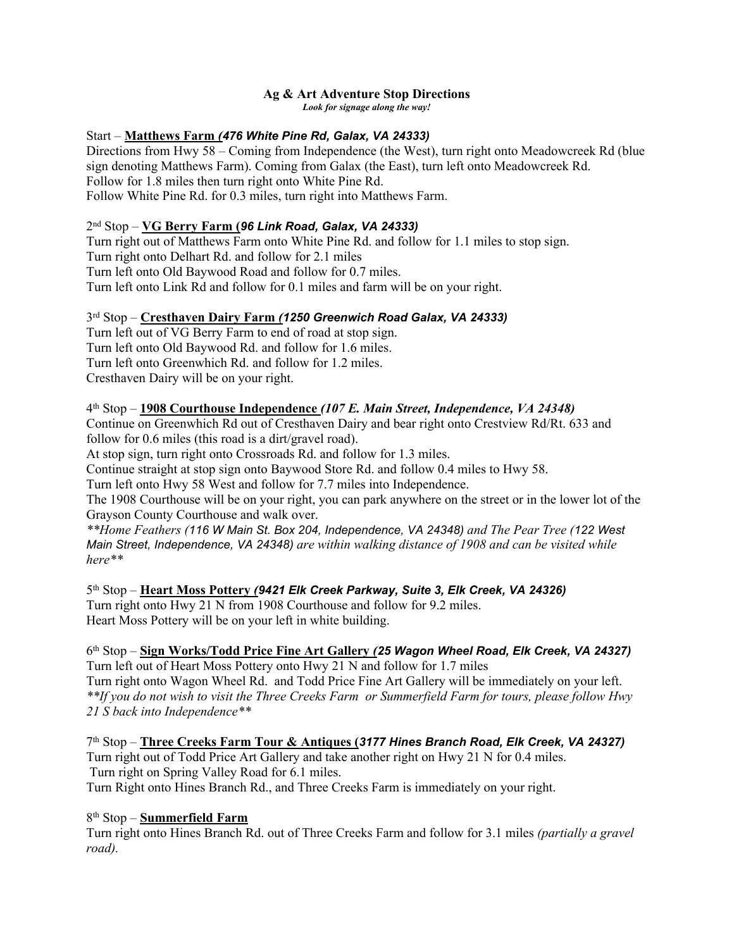# **Ag & Art Adventure Stop Directions**

*Look for signage along the way!*

### Start – **Matthews Farm** *(476 White Pine Rd, Galax, VA 24333)*

Directions from Hwy 58 – Coming from Independence (the West), turn right onto Meadowcreek Rd (blue sign denoting Matthews Farm). Coming from Galax (the East), turn left onto Meadowcreek Rd. Follow for 1.8 miles then turn right onto White Pine Rd. Follow White Pine Rd. for 0.3 miles, turn right into Matthews Farm.

### 2 nd Stop – **VG Berry Farm (***96 Link Road, Galax, VA 24333)*

Turn right out of Matthews Farm onto White Pine Rd. and follow for 1.1 miles to stop sign. Turn right onto Delhart Rd. and follow for 2.1 miles Turn left onto Old Baywood Road and follow for 0.7 miles. Turn left onto Link Rd and follow for 0.1 miles and farm will be on your right.

### 3 rd Stop – **Cresthaven Dairy Farm** *(1250 Greenwich Road Galax, VA 24333)*

Turn left out of VG Berry Farm to end of road at stop sign. Turn left onto Old Baywood Rd. and follow for 1.6 miles. Turn left onto Greenwhich Rd. and follow for 1.2 miles. Cresthaven Dairy will be on your right.

### 4 th Stop – **1908 Courthouse Independence** *(107 E. Main Street, Independence, VA 24348)*

Continue on Greenwhich Rd out of Cresthaven Dairy and bear right onto Crestview Rd/Rt. 633 and follow for 0.6 miles (this road is a dirt/gravel road).

At stop sign, turn right onto Crossroads Rd. and follow for 1.3 miles.

Continue straight at stop sign onto Baywood Store Rd. and follow 0.4 miles to Hwy 58.

Turn left onto Hwy 58 West and follow for 7.7 miles into Independence.

The 1908 Courthouse will be on your right, you can park anywhere on the street or in the lower lot of the Grayson County Courthouse and walk over.

*\*\*Home Feathers (116 W Main St. Box 204, Independence, VA 24348) and The Pear Tree (122 West Main Street, Independence, VA 24348) are within walking distance of 1908 and can be visited while here\*\**

5 th Stop – **Heart Moss Pottery** *(9421 Elk Creek Parkway, Suite 3, Elk Creek, VA 24326)* Turn right onto Hwy 21 N from 1908 Courthouse and follow for 9.2 miles. Heart Moss Pottery will be on your left in white building.

#### 6 th Stop – **Sign Works/Todd Price Fine Art Gallery** *(25 Wagon Wheel Road, Elk Creek, VA 24327)* Turn left out of Heart Moss Pottery onto Hwy 21 N and follow for 1.7 miles Turn right onto Wagon Wheel Rd. and Todd Price Fine Art Gallery will be immediately on your left. *\*\*If you do not wish to visit the Three Creeks Farm or Summerfield Farm for tours, please follow Hwy*

*21 S back into Independence\*\**

7 th Stop – **Three Creeks Farm Tour & Antiques (***3177 Hines Branch Road, Elk Creek, VA 24327)* Turn right out of Todd Price Art Gallery and take another right on Hwy 21 N for 0.4 miles. Turn right on Spring Valley Road for 6.1 miles. Turn Right onto Hines Branch Rd., and Three Creeks Farm is immediately on your right.

8 th Stop – **Summerfield Farm**

Turn right onto Hines Branch Rd. out of Three Creeks Farm and follow for 3.1 miles *(partially a gravel road).*